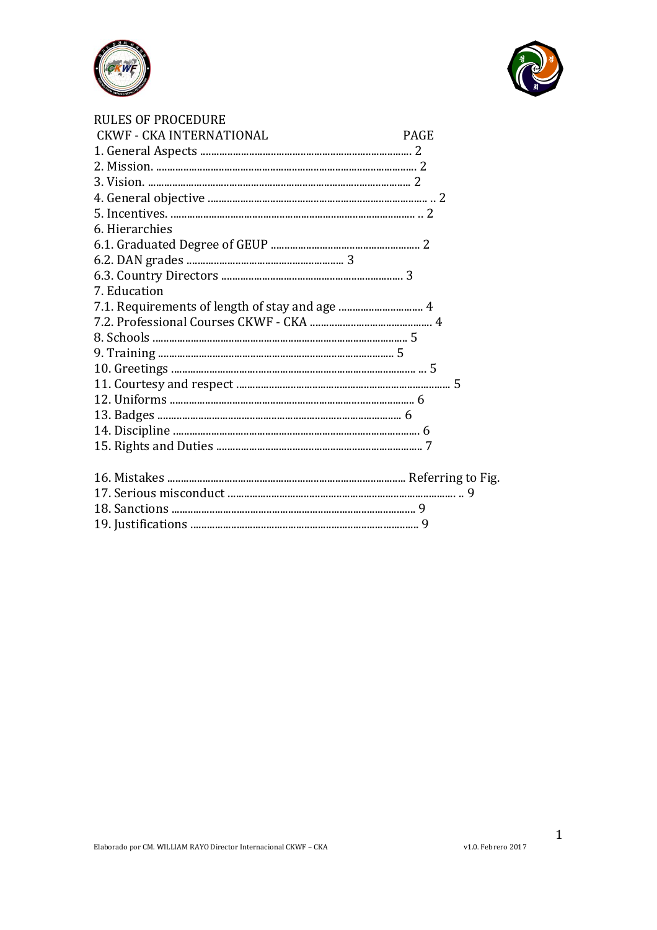



| <b>RULES OF PROCEDURE</b>       |             |
|---------------------------------|-------------|
| <b>CKWF - CKA INTERNATIONAL</b> | <b>PAGE</b> |
|                                 |             |
|                                 |             |
|                                 |             |
|                                 |             |
|                                 |             |
| 6. Hierarchies                  |             |
|                                 |             |
|                                 |             |
|                                 |             |
| 7. Education                    |             |
|                                 |             |
|                                 |             |
|                                 |             |
|                                 |             |
|                                 |             |
|                                 |             |
|                                 |             |
|                                 |             |
|                                 |             |
|                                 |             |
|                                 |             |
|                                 |             |
|                                 |             |
|                                 |             |
|                                 |             |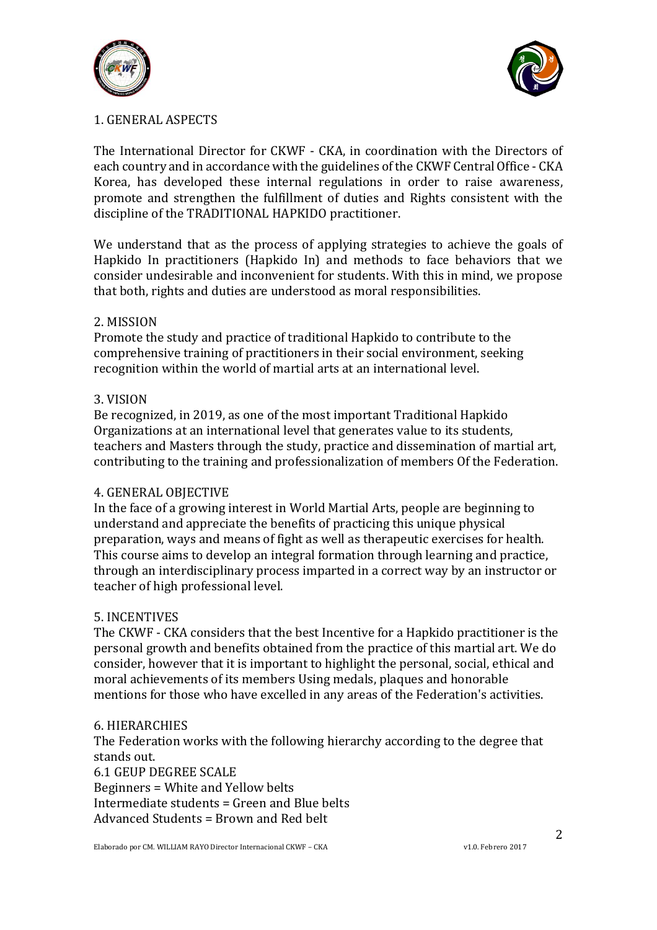



## 1. GENERAL ASPECTS

The International Director for CKWF - CKA, in coordination with the Directors of each country and in accordance with the guidelines of the CKWF Central Office - CKA Korea, has developed these internal regulations in order to raise awareness, promote and strengthen the fulfillment of duties and Rights consistent with the discipline of the TRADITIONAL HAPKIDO practitioner.

We understand that as the process of applying strategies to achieve the goals of Hapkido In practitioners (Hapkido In) and methods to face behaviors that we consider undesirable and inconvenient for students. With this in mind, we propose that both, rights and duties are understood as moral responsibilities.

### 2. MISSION

Promote the study and practice of traditional Hapkido to contribute to the comprehensive training of practitioners in their social environment, seeking recognition within the world of martial arts at an international level.

### 3. VISION

Be recognized, in 2019, as one of the most important Traditional Hapkido Organizations at an international level that generates value to its students, teachers and Masters through the study, practice and dissemination of martial art, contributing to the training and professionalization of members Of the Federation.

#### 4. GENERAL OBJECTIVE

In the face of a growing interest in World Martial Arts, people are beginning to understand and appreciate the benefits of practicing this unique physical preparation, ways and means of fight as well as therapeutic exercises for health. This course aims to develop an integral formation through learning and practice, through an interdisciplinary process imparted in a correct way by an instructor or teacher of high professional level.

## 5. INCENTIVES

The CKWF - CKA considers that the best Incentive for a Hapkido practitioner is the personal growth and benefits obtained from the practice of this martial art. We do consider, however that it is important to highlight the personal, social, ethical and moral achievements of its members Using medals, plaques and honorable mentions for those who have excelled in any areas of the Federation's activities.

#### 6. HIERARCHIES

The Federation works with the following hierarchy according to the degree that stands out.

6.1 GEUP DEGREE SCALE Beginners = White and Yellow belts Intermediate students = Green and Blue belts Advanced Students = Brown and Red belt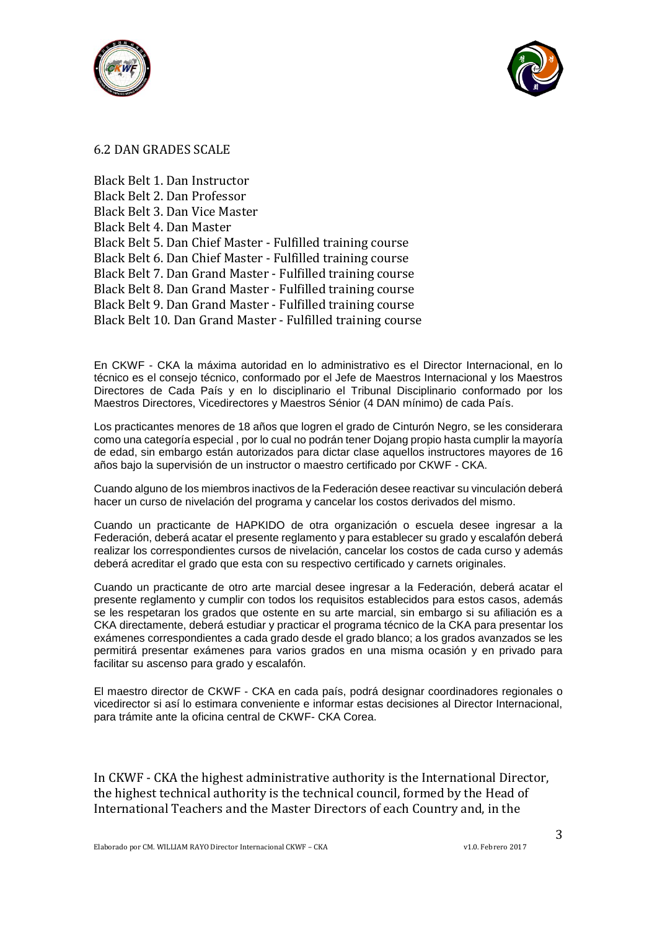



#### 6.2 DAN GRADES SCALE

Black Belt 1. Dan Instructor Black Belt 2. Dan Professor Black Belt 3. Dan Vice Master Black Belt 4. Dan Master Black Belt 5. Dan Chief Master - Fulfilled training course Black Belt 6. Dan Chief Master - Fulfilled training course Black Belt 7. Dan Grand Master - Fulfilled training course Black Belt 8. Dan Grand Master - Fulfilled training course Black Belt 9. Dan Grand Master - Fulfilled training course Black Belt 10. Dan Grand Master - Fulfilled training course

En CKWF - CKA la máxima autoridad en lo administrativo es el Director Internacional, en lo técnico es el consejo técnico, conformado por el Jefe de Maestros Internacional y los Maestros Directores de Cada País y en lo disciplinario el Tribunal Disciplinario conformado por los Maestros Directores, Vicedirectores y Maestros Sénior (4 DAN mínimo) de cada País.

Los practicantes menores de 18 años que logren el grado de Cinturón Negro, se les considerara como una categoría especial , por lo cual no podrán tener Dojang propio hasta cumplir la mayoría de edad, sin embargo están autorizados para dictar clase aquellos instructores mayores de 16 años bajo la supervisión de un instructor o maestro certificado por CKWF - CKA.

Cuando alguno de los miembros inactivos de la Federación desee reactivar su vinculación deberá hacer un curso de nivelación del programa y cancelar los costos derivados del mismo.

Cuando un practicante de HAPKIDO de otra organización o escuela desee ingresar a la Federación, deberá acatar el presente reglamento y para establecer su grado y escalafón deberá realizar los correspondientes cursos de nivelación, cancelar los costos de cada curso y además deberá acreditar el grado que esta con su respectivo certificado y carnets originales.

Cuando un practicante de otro arte marcial desee ingresar a la Federación, deberá acatar el presente reglamento y cumplir con todos los requisitos establecidos para estos casos, además se les respetaran los grados que ostente en su arte marcial, sin embargo si su afiliación es a CKA directamente, deberá estudiar y practicar el programa técnico de la CKA para presentar los exámenes correspondientes a cada grado desde el grado blanco; a los grados avanzados se les permitirá presentar exámenes para varios grados en una misma ocasión y en privado para facilitar su ascenso para grado y escalafón.

El maestro director de CKWF - CKA en cada país, podrá designar coordinadores regionales o vicedirector si así lo estimara conveniente e informar estas decisiones al Director Internacional, para trámite ante la oficina central de CKWF- CKA Corea.

In CKWF - CKA the highest administrative authority is the International Director, the highest technical authority is the technical council, formed by the Head of International Teachers and the Master Directors of each Country and, in the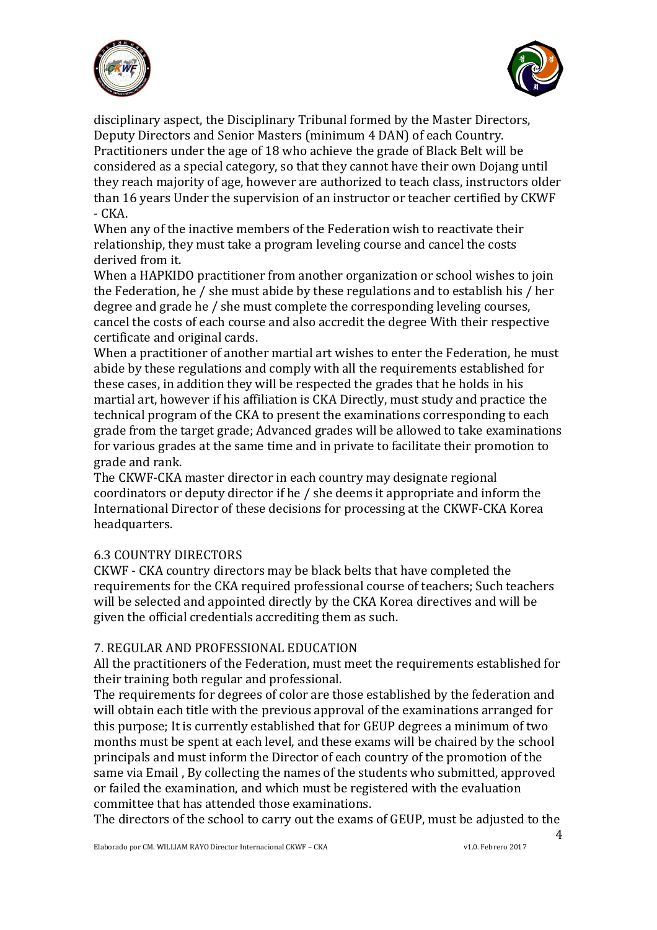



disciplinary aspect, the Disciplinary Tribunal formed by the Master Directors, Deputy Directors and Senior Masters (minimum 4 DAN) of each Country. Practitioners under the age of 18 who achieve the grade of Black Belt will be considered as a special category, so that they cannot have their own Dojang until they reach majority of age, however are authorized to teach class, instructors older than 16 years Under the supervision of an instructor or teacher certified by CKWF  $-CKA$ .

When any of the inactive members of the Federation wish to reactivate their relationship, they must take a program leveling course and cancel the costs derived from it.

When a HAPKIDO practitioner from another organization or school wishes to join the Federation, he / she must abide by these regulations and to establish his / her degree and grade he / she must complete the corresponding leveling courses, cancel the costs of each course and also accredit the degree With their respective certificate and original cards.

When a practitioner of another martial art wishes to enter the Federation, he must abide by these regulations and comply with all the requirements established for these cases, in addition they will be respected the grades that he holds in his martial art, however if his affiliation is CKA Directly, must study and practice the technical program of the CKA to present the examinations corresponding to each grade from the target grade; Advanced grades will be allowed to take examinations for various grades at the same time and in private to facilitate their promotion to grade and rank.

The CKWF-CKA master director in each country may designate regional coordinators or deputy director if he / she deems it appropriate and inform the International Director of these decisions for processing at the CKWF-CKA Korea headquarters.

## 6.3 COUNTRY DIRECTORS

CKWF - CKA country directors may be black belts that have completed the requirements for the CKA required professional course of teachers; Such teachers will be selected and appointed directly by the CKA Korea directives and will be given the official credentials accrediting them as such.

#### 7. REGULAR AND PROFESSIONAL EDUCATION

All the practitioners of the Federation, must meet the requirements established for their training both regular and professional.

The requirements for degrees of color are those established by the federation and will obtain each title with the previous approval of the examinations arranged for this purpose; It is currently established that for GEUP degrees a minimum of two months must be spent at each level, and these exams will be chaired by the school principals and must inform the Director of each country of the promotion of the same via Email , By collecting the names of the students who submitted, approved or failed the examination, and which must be registered with the evaluation committee that has attended those examinations.

The directors of the school to carry out the exams of GEUP, must be adjusted to the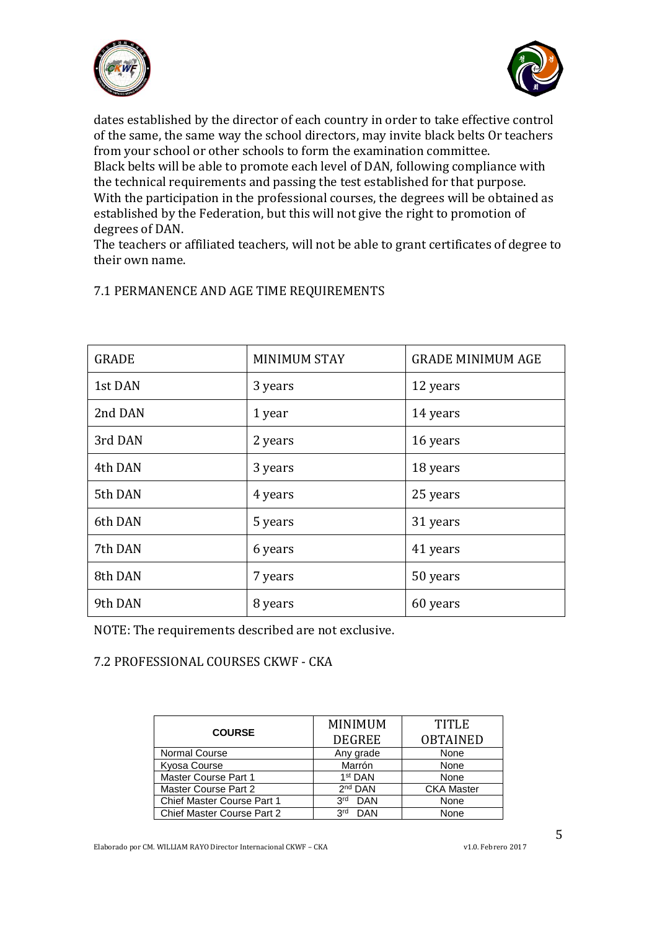



dates established by the director of each country in order to take effective control of the same, the same way the school directors, may invite black belts Or teachers from your school or other schools to form the examination committee. Black belts will be able to promote each level of DAN, following compliance with the technical requirements and passing the test established for that purpose. With the participation in the professional courses, the degrees will be obtained as established by the Federation, but this will not give the right to promotion of degrees of DAN.

The teachers or affiliated teachers, will not be able to grant certificates of degree to their own name.

| <b>GRADE</b> | <b>MINIMUM STAY</b> | <b>GRADE MINIMUM AGE</b> |
|--------------|---------------------|--------------------------|
| 1st DAN      | 3 years             | 12 years                 |
| 2nd DAN      | 1 year              | 14 years                 |
| 3rd DAN      | 2 years             | 16 years                 |
| 4th DAN      | 3 years             | 18 years                 |
| 5th DAN      | 4 years             | 25 years                 |
| 6th DAN      | 5 years             | 31 years                 |
| 7th DAN      | 6 years             | 41 years                 |
| 8th DAN      | 7 years             | 50 years                 |
| 9th DAN      | 8 years             | 60 years                 |

## 7.1 PERMANENCE AND AGE TIME REQUIREMENTS

NOTE: The requirements described are not exclusive.

# 7.2 PROFESSIONAL COURSES CKWF - CKA

| <b>MINIMUM</b>      | <b>TITLE</b>      |
|---------------------|-------------------|
| <b>DEGREE</b>       | <b>OBTAINED</b>   |
| Any grade           | None              |
| Marrón              | None              |
| 1 <sup>st</sup> DAN | None              |
| $2nd$ DAN           | <b>CKA Master</b> |
| <b>DAN</b><br>3rd   | None              |
| 3rd<br>DAN          | None              |
|                     |                   |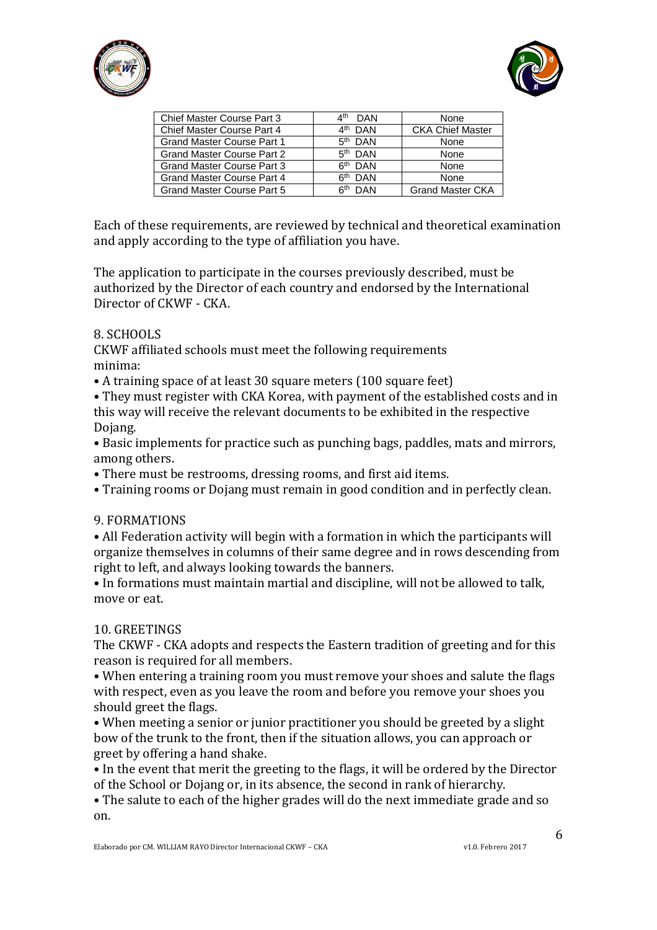



| <b>Chief Master Course Part 3</b> | ⊿th<br><b>DAN</b>   | None                    |
|-----------------------------------|---------------------|-------------------------|
| <b>Chief Master Course Part 4</b> | 4 <sup>th</sup> DAN | <b>CKA Chief Master</b> |
| <b>Grand Master Course Part 1</b> | $5th$ DAN           | None                    |
| <b>Grand Master Course Part 2</b> | $5th$ DAN           | None                    |
| <b>Grand Master Course Part 3</b> | $6th$ DAN           | None                    |
| <b>Grand Master Course Part 4</b> | $6th$ DAN           | None                    |
| <b>Grand Master Course Part 5</b> | 6 <sup>th</sup> DAN | <b>Grand Master CKA</b> |
|                                   |                     |                         |

Each of these requirements, are reviewed by technical and theoretical examination and apply according to the type of affiliation you have.

The application to participate in the courses previously described, must be authorized by the Director of each country and endorsed by the International Director of CKWF - CKA.

## 8. SCHOOLS

CKWF affiliated schools must meet the following requirements minima:

• A training space of at least 30 square meters (100 square feet)

• They must register with CKA Korea, with payment of the established costs and in this way will receive the relevant documents to be exhibited in the respective Dojang.

- Basic implements for practice such as punching bags, paddles, mats and mirrors, among others.
- There must be restrooms, dressing rooms, and first aid items.
- Training rooms or Dojang must remain in good condition and in perfectly clean.

#### 9. FORMATIONS

• All Federation activity will begin with a formation in which the participants will organize themselves in columns of their same degree and in rows descending from right to left, and always looking towards the banners.

• In formations must maintain martial and discipline, will not be allowed to talk, move or eat.

#### 10. GREETINGS

The CKWF - CKA adopts and respects the Eastern tradition of greeting and for this reason is required for all members.

• When entering a training room you must remove your shoes and salute the flags with respect, even as you leave the room and before you remove your shoes you should greet the flags.

• When meeting a senior or junior practitioner you should be greeted by a slight bow of the trunk to the front, then if the situation allows, you can approach or greet by offering a hand shake.

• In the event that merit the greeting to the flags, it will be ordered by the Director of the School or Dojang or, in its absence, the second in rank of hierarchy.

• The salute to each of the higher grades will do the next immediate grade and so on.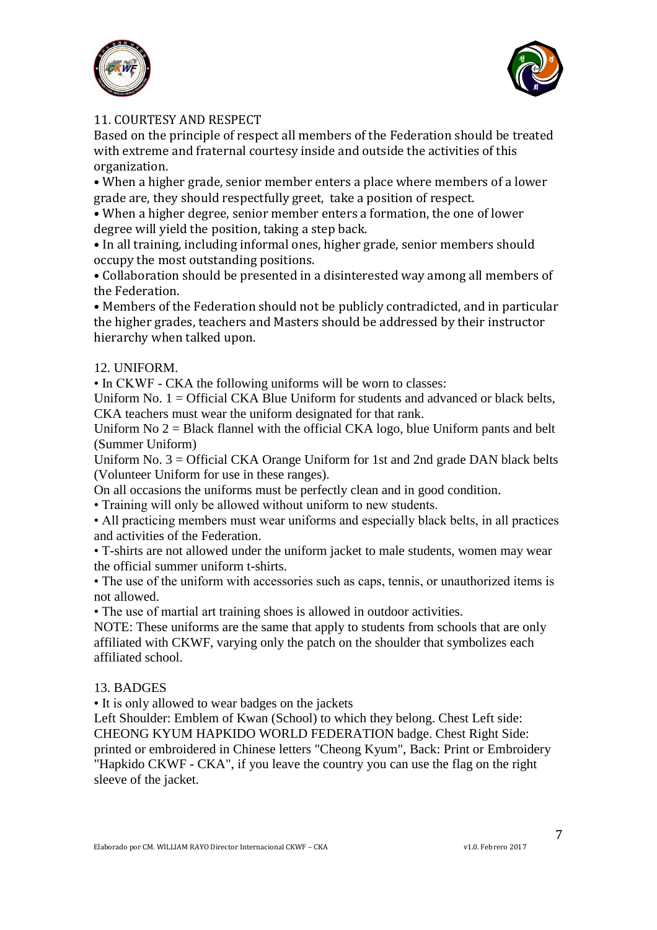



## 11. COURTESY AND RESPECT

Based on the principle of respect all members of the Federation should be treated with extreme and fraternal courtesy inside and outside the activities of this organization.

• When a higher grade, senior member enters a place where members of a lower grade are, they should respectfully greet, take a position of respect.

• When a higher degree, senior member enters a formation, the one of lower degree will yield the position, taking a step back.

• In all training, including informal ones, higher grade, senior members should occupy the most outstanding positions.

• Collaboration should be presented in a disinterested way among all members of the Federation.

• Members of the Federation should not be publicly contradicted, and in particular the higher grades, teachers and Masters should be addressed by their instructor hierarchy when talked upon.

## 12. UNIFORM.

• In CKWF - CKA the following uniforms will be worn to classes:

Uniform No.  $1 =$  Official CKA Blue Uniform for students and advanced or black belts, CKA teachers must wear the uniform designated for that rank.

Uniform No  $2 =$  Black flannel with the official CKA logo, blue Uniform pants and belt (Summer Uniform)

Uniform No.  $3 =$  Official CKA Orange Uniform for 1st and 2nd grade DAN black belts (Volunteer Uniform for use in these ranges).

On all occasions the uniforms must be perfectly clean and in good condition.

• Training will only be allowed without uniform to new students.

• All practicing members must wear uniforms and especially black belts, in all practices and activities of the Federation.

• T-shirts are not allowed under the uniform jacket to male students, women may wear the official summer uniform t-shirts.

• The use of the uniform with accessories such as caps, tennis, or unauthorized items is not allowed.

• The use of martial art training shoes is allowed in outdoor activities.

NOTE: These uniforms are the same that apply to students from schools that are only affiliated with CKWF, varying only the patch on the shoulder that symbolizes each affiliated school.

#### 13. BADGES

• It is only allowed to wear badges on the jackets

Left Shoulder: Emblem of Kwan (School) to which they belong. Chest Left side: CHEONG KYUM HAPKIDO WORLD FEDERATION badge. Chest Right Side: printed or embroidered in Chinese letters "Cheong Kyum", Back: Print or Embroidery "Hapkido CKWF - CKA", if you leave the country you can use the flag on the right sleeve of the jacket.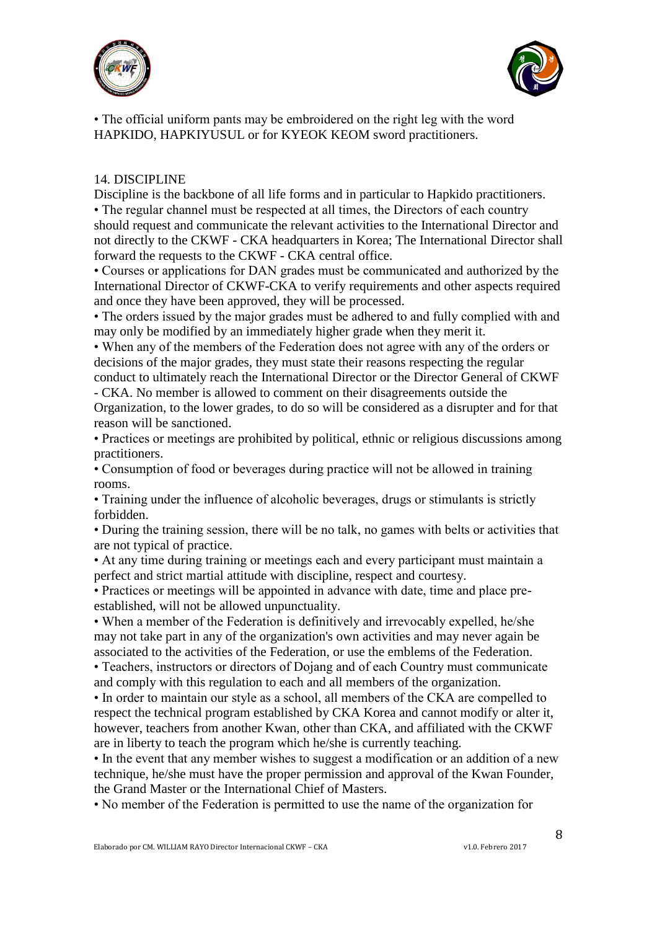



• The official uniform pants may be embroidered on the right leg with the word HAPKIDO, HAPKIYUSUL or for KYEOK KEOM sword practitioners.

#### 14. DISCIPLINE

Discipline is the backbone of all life forms and in particular to Hapkido practitioners. • The regular channel must be respected at all times, the Directors of each country should request and communicate the relevant activities to the International Director and not directly to the CKWF - CKA headquarters in Korea; The International Director shall forward the requests to the CKWF - CKA central office.

• Courses or applications for DAN grades must be communicated and authorized by the International Director of CKWF-CKA to verify requirements and other aspects required and once they have been approved, they will be processed.

• The orders issued by the major grades must be adhered to and fully complied with and may only be modified by an immediately higher grade when they merit it.

• When any of the members of the Federation does not agree with any of the orders or decisions of the major grades, they must state their reasons respecting the regular conduct to ultimately reach the International Director or the Director General of CKWF

- CKA. No member is allowed to comment on their disagreements outside the Organization, to the lower grades, to do so will be considered as a disrupter and for that reason will be sanctioned.

• Practices or meetings are prohibited by political, ethnic or religious discussions among practitioners.

• Consumption of food or beverages during practice will not be allowed in training rooms.

• Training under the influence of alcoholic beverages, drugs or stimulants is strictly forbidden.

• During the training session, there will be no talk, no games with belts or activities that are not typical of practice.

• At any time during training or meetings each and every participant must maintain a perfect and strict martial attitude with discipline, respect and courtesy.

• Practices or meetings will be appointed in advance with date, time and place preestablished, will not be allowed unpunctuality.

• When a member of the Federation is definitively and irrevocably expelled, he/she may not take part in any of the organization's own activities and may never again be associated to the activities of the Federation, or use the emblems of the Federation.

• Teachers, instructors or directors of Dojang and of each Country must communicate and comply with this regulation to each and all members of the organization.

• In order to maintain our style as a school, all members of the CKA are compelled to respect the technical program established by CKA Korea and cannot modify or alter it, however, teachers from another Kwan, other than CKA, and affiliated with the CKWF are in liberty to teach the program which he/she is currently teaching.

• In the event that any member wishes to suggest a modification or an addition of a new technique, he/she must have the proper permission and approval of the Kwan Founder, the Grand Master or the International Chief of Masters.

• No member of the Federation is permitted to use the name of the organization for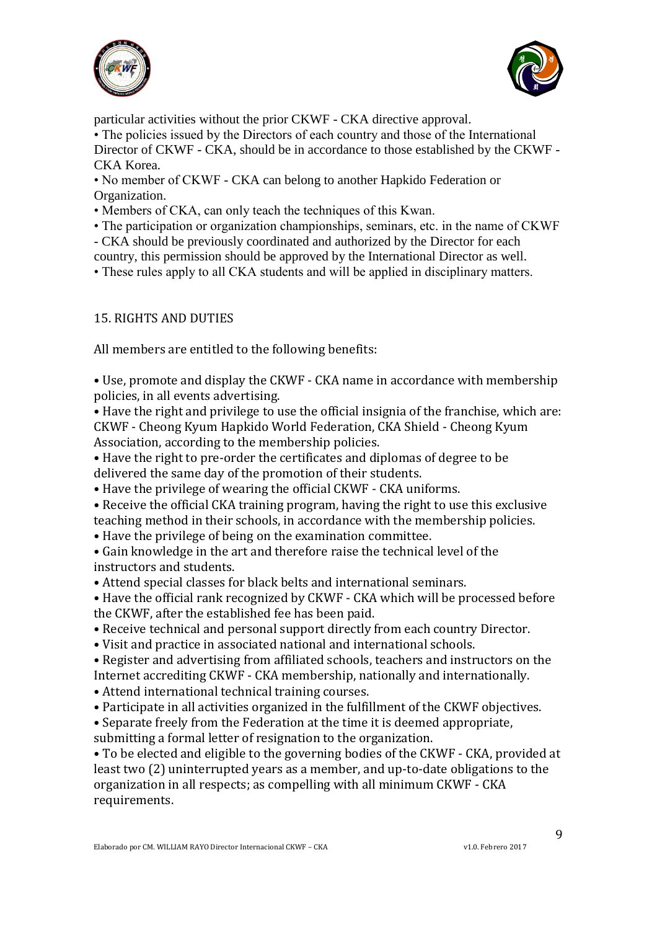



particular activities without the prior CKWF - CKA directive approval.

• The policies issued by the Directors of each country and those of the International Director of CKWF - CKA, should be in accordance to those established by the CKWF - CKA Korea.

• No member of CKWF - CKA can belong to another Hapkido Federation or Organization.

• Members of CKA, can only teach the techniques of this Kwan.

- The participation or organization championships, seminars, etc. in the name of CKWF
- CKA should be previously coordinated and authorized by the Director for each

country, this permission should be approved by the International Director as well.

• These rules apply to all CKA students and will be applied in disciplinary matters.

# 15. RIGHTS AND DUTIES

All members are entitled to the following benefits:

• Use, promote and display the CKWF - CKA name in accordance with membership policies, in all events advertising.

• Have the right and privilege to use the official insignia of the franchise, which are: CKWF - Cheong Kyum Hapkido World Federation, CKA Shield - Cheong Kyum Association, according to the membership policies.

• Have the right to pre-order the certificates and diplomas of degree to be delivered the same day of the promotion of their students.

• Have the privilege of wearing the official CKWF - CKA uniforms.

• Receive the official CKA training program, having the right to use this exclusive teaching method in their schools, in accordance with the membership policies.

• Have the privilege of being on the examination committee.

• Gain knowledge in the art and therefore raise the technical level of the instructors and students.

• Attend special classes for black belts and international seminars.

• Have the official rank recognized by CKWF - CKA which will be processed before the CKWF, after the established fee has been paid.

• Receive technical and personal support directly from each country Director.

• Visit and practice in associated national and international schools.

• Register and advertising from affiliated schools, teachers and instructors on the Internet accrediting CKWF - CKA membership, nationally and internationally.

• Attend international technical training courses.

• Participate in all activities organized in the fulfillment of the CKWF objectives.

• Separate freely from the Federation at the time it is deemed appropriate,

submitting a formal letter of resignation to the organization.

• To be elected and eligible to the governing bodies of the CKWF - CKA, provided at least two (2) uninterrupted years as a member, and up-to-date obligations to the organization in all respects; as compelling with all minimum CKWF - CKA requirements.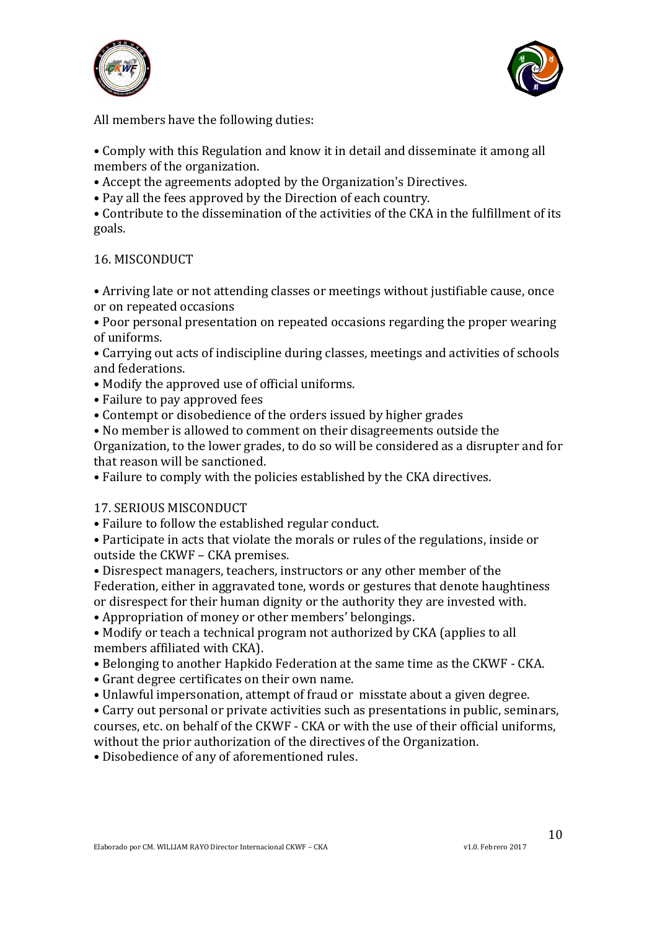



All members have the following duties:

• Comply with this Regulation and know it in detail and disseminate it among all members of the organization.

• Accept the agreements adopted by the Organization's Directives.

• Pay all the fees approved by the Direction of each country.

• Contribute to the dissemination of the activities of the CKA in the fulfillment of its goals.

## 16. MISCONDUCT

• Arriving late or not attending classes or meetings without justifiable cause, once or on repeated occasions

• Poor personal presentation on repeated occasions regarding the proper wearing of uniforms.

• Carrying out acts of indiscipline during classes, meetings and activities of schools and federations.

• Modify the approved use of official uniforms.

- Failure to pay approved fees
- Contempt or disobedience of the orders issued by higher grades

• No member is allowed to comment on their disagreements outside the

Organization, to the lower grades, to do so will be considered as a disrupter and for that reason will be sanctioned.

• Failure to comply with the policies established by the CKA directives.

## 17. SERIOUS MISCONDUCT

• Failure to follow the established regular conduct.

• Participate in acts that violate the morals or rules of the regulations, inside or outside the CKWF – CKA premises.

• Disrespect managers, teachers, instructors or any other member of the Federation, either in aggravated tone, words or gestures that denote haughtiness or disrespect for their human dignity or the authority they are invested with.

• Appropriation of money or other members' belongings.

• Modify or teach a technical program not authorized by CKA (applies to all members affiliated with CKA).

• Belonging to another Hapkido Federation at the same time as the CKWF - CKA.

• Grant degree certificates on their own name.

• Unlawful impersonation, attempt of fraud or misstate about a given degree.

• Carry out personal or private activities such as presentations in public, seminars, courses, etc. on behalf of the CKWF - CKA or with the use of their official uniforms, without the prior authorization of the directives of the Organization.

• Disobedience of any of aforementioned rules.